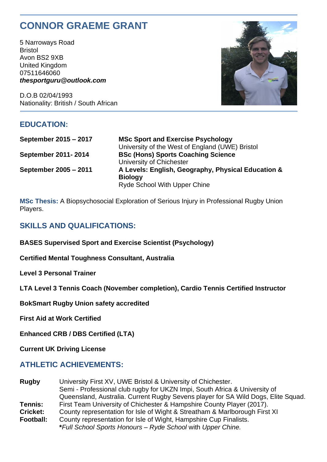# **CONNOR GRAEME GRANT**

5 Narroways Road Bristol Avon BS2 9XB United Kingdom 07511646060 *thesportguru@outlook.com*

D.O.B 02/04/1993 Nationality: British / South African



## **EDUCATION:**

**September 2015 – 2017 MSc Sport and Exercise Psychology**

University of the West of England (UWE) Bristol **September 2011- 2014 BSc (Hons) Sports Coaching Science** University of Chichester **September 2005 – 2011 A Levels: English, Geography, Physical Education & Biology** Ryde School With Upper Chine

**MSc Thesis:** A Biopsychosocial Exploration of Serious Injury in Professional Rugby Union Players.

## **SKILLS AND QUALIFICATIONS:**

**BASES Supervised Sport and Exercise Scientist (Psychology)**

**Certified Mental Toughness Consultant, Australia**

**Level 3 Personal Trainer** 

**LTA Level 3 Tennis Coach (November completion), Cardio Tennis Certified Instructor**

**BokSmart Rugby Union safety accredited** 

**First Aid at Work Certified**

**Enhanced CRB / DBS Certified (LTA)**

**Current UK Driving License**

## **ATHLETIC ACHIEVEMENTS:**

**Rugby** University First XV, UWE Bristol & University of Chichester. Semi - Professional club rugby for UKZN Impi, South Africa & University of Queensland, Australia. Current Rugby Sevens player for SA Wild Dogs, Elite Squad. **Tennis:** First Team University of Chichester & Hampshire County Player (2017). **Cricket:** County representation for Isle of Wight & Streatham & Marlborough First XI **Football:** County representation for Isle of Wight, Hampshire Cup Finalists. **\****Full School Sports Honours – Ryde School* with *Upper Chine.*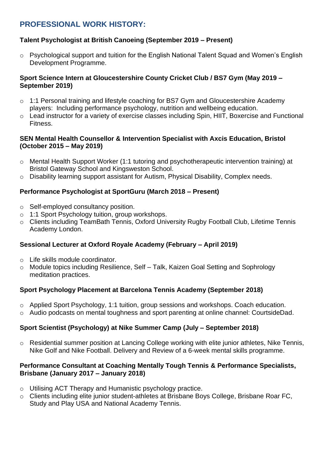# **PROFESSIONAL WORK HISTORY:**

#### **Talent Psychologist at British Canoeing (September 2019 – Present)**

 $\circ$  Psychological support and tuition for the English National Talent Squad and Women's English Development Programme.

#### **Sport Science Intern at Gloucestershire County Cricket Club / BS7 Gym (May 2019 – September 2019)**

- o 1:1 Personal training and lifestyle coaching for BS7 Gym and Gloucestershire Academy players: Including performance psychology, nutrition and wellbeing education.
- o Lead instructor for a variety of exercise classes including Spin, HIIT, Boxercise and Functional Fitness.

#### **SEN Mental Health Counsellor & Intervention Specialist with Axcis Education, Bristol (October 2015 – May 2019)**

- o Mental Health Support Worker (1:1 tutoring and psychotherapeutic intervention training) at Bristol Gateway School and Kingsweston School.
- Disability learning support assistant for Autism, Physical Disability, Complex needs.

#### **Performance Psychologist at SportGuru (March 2018 – Present)**

- o Self-employed consultancy position.
- o 1:1 Sport Psychology tuition, group workshops.
- o Clients including TeamBath Tennis, Oxford University Rugby Football Club, Lifetime Tennis Academy London.

#### **Sessional Lecturer at Oxford Royale Academy (February – April 2019)**

- o Life skills module coordinator.
- o Module topics including Resilience, Self Talk, Kaizen Goal Setting and Sophrology meditation practices.

#### **Sport Psychology Placement at Barcelona Tennis Academy (September 2018)**

- o Applied Sport Psychology, 1:1 tuition, group sessions and workshops. Coach education.
- o Audio podcasts on mental toughness and sport parenting at online channel: CourtsideDad.

#### **Sport Scientist (Psychology) at Nike Summer Camp (July – September 2018)**

o Residential summer position at Lancing College working with elite junior athletes, Nike Tennis, Nike Golf and Nike Football. Delivery and Review of a 6-week mental skills programme.

#### **Performance Consultant at Coaching Mentally Tough Tennis & Performance Specialists, Brisbane (January 2017 – January 2018)**

- o Utilising ACT Therapy and Humanistic psychology practice.
- o Clients including elite junior student-athletes at Brisbane Boys College, Brisbane Roar FC, Study and Play USA and National Academy Tennis.